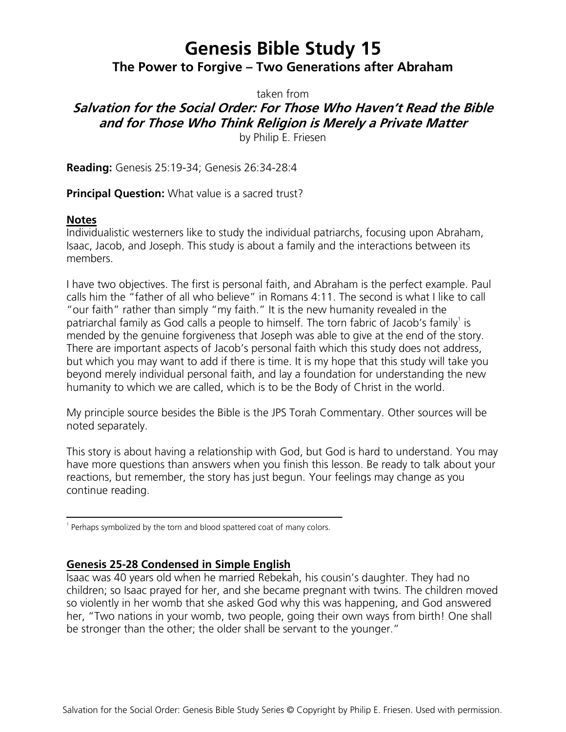# **Genesis Bible Study 15 The Power to Forgive – Two Generations after Abraham**

taken from

# **Salvation for the Social Order: For Those Who Haven't Read the Bible and for Those Who Think Religion is Merely a Private Matter**

by Philip E. Friesen

**Reading:** Genesis 25:19-34; Genesis 26:34-28:4

**Principal Question:** What value is a sacred trust?

### **Notes**

Individualistic westerners like to study the individual patriarchs, focusing upon Abraham, Isaac, Jacob, and Joseph. This study is about a family and the interactions between its members.

I have two objectives. The first is personal faith, and Abraham is the perfect example. Paul calls him the "father of all who believe" in Romans 4:11. The second is what I like to call "our faith" rather than simply "my faith." It is the new humanity revealed in the patriarchal family as God calls a people to himself. The torn fabric of Jacob's family<sup>1</sup> is mended by the genuine forgiveness that Joseph was able to give at the end of the story. There are important aspects of Jacob's personal faith which this study does not address, but which you may want to add if there is time. It is my hope that this study will take you beyond merely individual personal faith, and lay a foundation for understanding the new humanity to which we are called, which is to be the Body of Christ in the world.

My principle source besides the Bible is the JPS Torah Commentary. Other sources will be noted separately.

This story is about having a relationship with God, but God is hard to understand. You may have more questions than answers when you finish this lesson. Be ready to talk about your reactions, but remember, the story has just begun. Your feelings may change as you continue reading.

# **Genesis 25-28 Condensed in Simple English**

Isaac was 40 years old when he married Rebekah, his cousin's daughter. They had no children; so Isaac prayed for her, and she became pregnant with twins. The children moved so violently in her womb that she asked God why this was happening, and God answered her, "Two nations in your womb, two people, going their own ways from birth! One shall be stronger than the other; the older shall be servant to the younger."

<sup>&</sup>lt;sup>1</sup> Perhaps symbolized by the torn and blood spattered coat of many colors.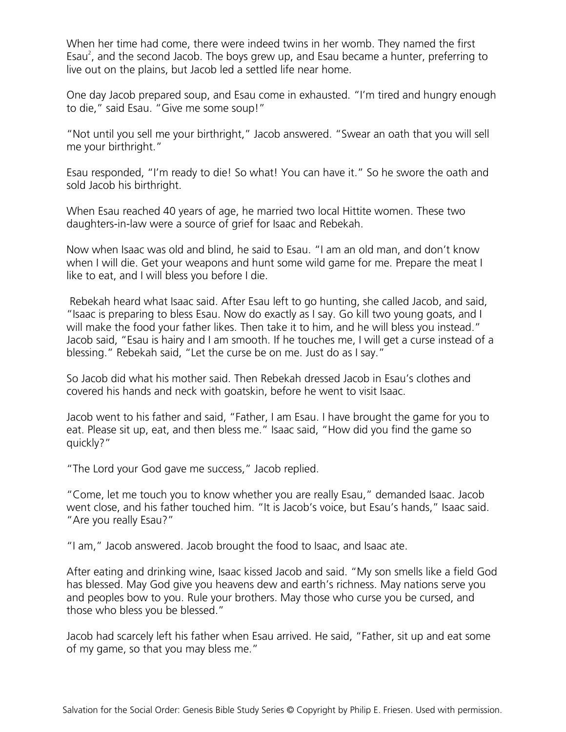When her time had come, there were indeed twins in her womb. They named the first Esau<sup>2</sup>, and the second Jacob. The boys grew up, and Esau became a hunter, preferring to live out on the plains, but Jacob led a settled life near home.

One day Jacob prepared soup, and Esau come in exhausted. "I'm tired and hungry enough to die," said Esau. "Give me some soup!"

"Not until you sell me your birthright," Jacob answered. "Swear an oath that you will sell me your birthright."

Esau responded, "I'm ready to die! So what! You can have it." So he swore the oath and sold Jacob his birthright.

When Esau reached 40 years of age, he married two local Hittite women. These two daughters-in-law were a source of grief for Isaac and Rebekah.

Now when Isaac was old and blind, he said to Esau. "I am an old man, and don't know when I will die. Get your weapons and hunt some wild game for me. Prepare the meat I like to eat, and I will bless you before I die.

Rebekah heard what Isaac said. After Esau left to go hunting, she called Jacob, and said, "Isaac is preparing to bless Esau. Now do exactly as I say. Go kill two young goats, and I will make the food your father likes. Then take it to him, and he will bless you instead." Jacob said, "Esau is hairy and I am smooth. If he touches me, I will get a curse instead of a blessing." Rebekah said, "Let the curse be on me. Just do as I say."

So Jacob did what his mother said. Then Rebekah dressed Jacob in Esau's clothes and covered his hands and neck with goatskin, before he went to visit Isaac.

Jacob went to his father and said, "Father, I am Esau. I have brought the game for you to eat. Please sit up, eat, and then bless me." Isaac said, "How did you find the game so quickly?"

"The Lord your God gave me success," Jacob replied.

"Come, let me touch you to know whether you are really Esau," demanded Isaac. Jacob went close, and his father touched him. "It is Jacob's voice, but Esau's hands," Isaac said. "Are you really Esau?"

"I am," Jacob answered. Jacob brought the food to Isaac, and Isaac ate.

After eating and drinking wine, Isaac kissed Jacob and said. "My son smells like a field God has blessed. May God give you heavens dew and earth's richness. May nations serve you and peoples bow to you. Rule your brothers. May those who curse you be cursed, and those who bless you be blessed."

Jacob had scarcely left his father when Esau arrived. He said, "Father, sit up and eat some of my game, so that you may bless me."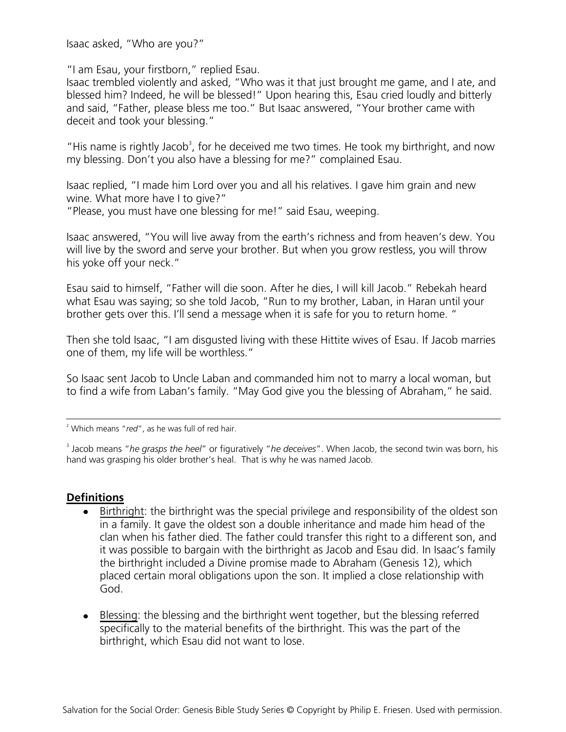Isaac asked, "Who are you?"

"I am Esau, your firstborn," replied Esau.

Isaac trembled violently and asked, "Who was it that just brought me game, and I ate, and blessed him? Indeed, he will be blessed!" Upon hearing this, Esau cried loudly and bitterly and said, "Father, please bless me too." But Isaac answered, "Your brother came with deceit and took your blessing."

"His name is rightly Jacob<sup>3</sup>, for he deceived me two times. He took my birthright, and now my blessing. Don't you also have a blessing for me?" complained Esau.

Isaac replied, "I made him Lord over you and all his relatives. I gave him grain and new wine. What more have I to give?"

"Please, you must have one blessing for me!" said Esau, weeping.

Isaac answered, "You will live away from the earth's richness and from heaven's dew. You will live by the sword and serve your brother. But when you grow restless, you will throw his yoke off your neck."

Esau said to himself, "Father will die soon. After he dies, I will kill Jacob." Rebekah heard what Esau was saying; so she told Jacob, "Run to my brother, Laban, in Haran until your brother gets over this. I'll send a message when it is safe for you to return home. "

Then she told Isaac, "I am disgusted living with these Hittite wives of Esau. If Jacob marries one of them, my life will be worthless."

So Isaac sent Jacob to Uncle Laban and commanded him not to marry a local woman, but to find a wife from Laban's family. "May God give you the blessing of Abraham," he said.

<sup>2</sup> Which means "*red*", as he was full of red hair.

3 Jacob means "*he grasps the heel*" or figuratively "*he deceives*". When Jacob, the second twin was born, his hand was grasping his older brother's heal. That is why he was named Jacob.

# **Definitions**

- Birthright: the birthright was the special privilege and responsibility of the oldest son in a family. It gave the oldest son a double inheritance and made him head of the clan when his father died. The father could transfer this right to a different son, and it was possible to bargain with the birthright as Jacob and Esau did. In Isaac's family the birthright included a Divine promise made to Abraham (Genesis 12), which placed certain moral obligations upon the son. It implied a close relationship with God.
- Blessing: the blessing and the birthright went together, but the blessing referred specifically to the material benefits of the birthright. This was the part of the birthright, which Esau did not want to lose.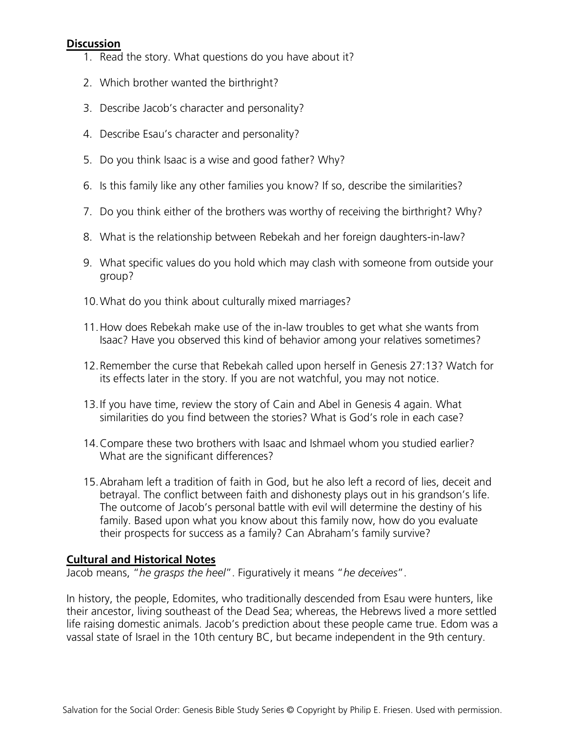#### **Discussion**

- 1. Read the story. What questions do you have about it?
- 2. Which brother wanted the birthright?
- 3. Describe Jacob's character and personality?
- 4. Describe Esau's character and personality?
- 5. Do you think Isaac is a wise and good father? Why?
- 6. Is this family like any other families you know? If so, describe the similarities?
- 7. Do you think either of the brothers was worthy of receiving the birthright? Why?
- 8. What is the relationship between Rebekah and her foreign daughters-in-law?
- 9. What specific values do you hold which may clash with someone from outside your group?
- 10.What do you think about culturally mixed marriages?
- 11.How does Rebekah make use of the in-law troubles to get what she wants from Isaac? Have you observed this kind of behavior among your relatives sometimes?
- 12.Remember the curse that Rebekah called upon herself in Genesis 27:13? Watch for its effects later in the story. If you are not watchful, you may not notice.
- 13.If you have time, review the story of Cain and Abel in Genesis 4 again. What similarities do you find between the stories? What is God's role in each case?
- 14.Compare these two brothers with Isaac and Ishmael whom you studied earlier? What are the significant differences?
- 15.Abraham left a tradition of faith in God, but he also left a record of lies, deceit and betrayal. The conflict between faith and dishonesty plays out in his grandson's life. The outcome of Jacob's personal battle with evil will determine the destiny of his family. Based upon what you know about this family now, how do you evaluate their prospects for success as a family? Can Abraham's family survive?

#### **Cultural and Historical Notes**

Jacob means, "*he grasps the heel*". Figuratively it means "*he deceives*".

In history, the people, Edomites, who traditionally descended from Esau were hunters, like their ancestor, living southeast of the Dead Sea; whereas, the Hebrews lived a more settled life raising domestic animals. Jacob's prediction about these people came true. Edom was a vassal state of Israel in the 10th century BC, but became independent in the 9th century.